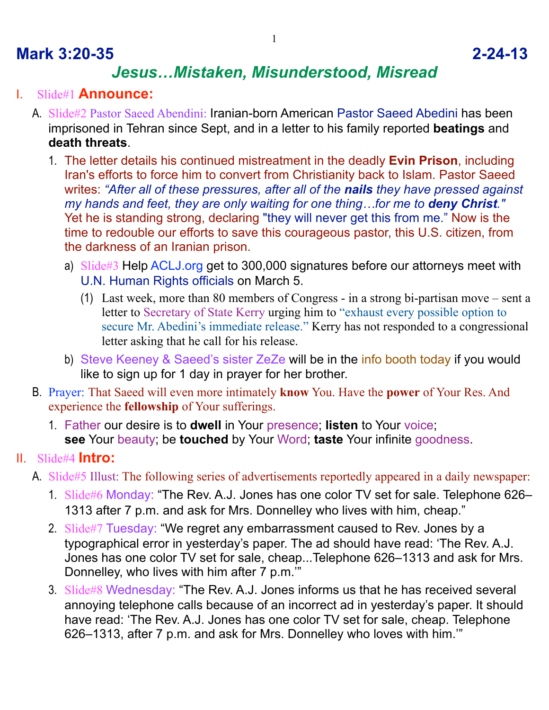## **Mark 3:20-35 2-24-13**

# *Jesus…Mistaken, Misunderstood, Misread*

### I. Slide#1 **Announce:**

- A. Slide#2 Pastor Saeed Abendini: Iranian-born American Pastor Saeed Abedini has been imprisoned in Tehran since Sept, and in a letter to his family reported **beatings** and **death threats**.
	- 1. The letter details his continued mistreatment in the deadly **Evin Prison**, including Iran's efforts to force him to convert from Christianity back to Islam. Pastor Saeed writes: *"After all of these pressures, after all of the nails they have pressed against my hands and feet, they are only waiting for one thing…for me to deny Christ."*  Yet he is standing strong, declaring "they will never get this from me." Now is the time to redouble our efforts to save this courageous pastor, this U.S. citizen, from the darkness of an Iranian prison.
		- a) Slide#3 Help ACLJ.org get to 300,000 signatures before our attorneys meet with U.N. Human Rights officials on March 5.
			- (1) Last week, more than 80 members of Congress in a strong bi-partisan move sent a letter to Secretary of State Kerry urging him to "exhaust every possible option to secure Mr. Abedini's immediate release." Kerry has not responded to a congressional letter asking that he call for his release.
		- b) Steve Keeney & Saeed's sister ZeZe will be in the info booth today if you would like to sign up for 1 day in prayer for her brother.
- B. Prayer: That Saeed will even more intimately **know** You. Have the **power** of Your Res. And experience the **fellowship** of Your sufferings.
	- 1. Father our desire is to **dwell** in Your presence; **listen** to Your voice; **see** Your beauty; be **touched** by Your Word; **taste** Your infinite goodness.

### II. Slide#4 **Intro:**

- A. Slide#5 Illust: The following series of advertisements reportedly appeared in a daily newspaper:
	- 1. Slide#6 Monday: "The Rev. A.J. Jones has one color TV set for sale. Telephone 626– 1313 after 7 p.m. and ask for Mrs. Donnelley who lives with him, cheap."
	- 2. Slide#7 Tuesday: "We regret any embarrassment caused to Rev. Jones by a typographical error in yesterday's paper. The ad should have read: 'The Rev. A.J. Jones has one color TV set for sale, cheap...Telephone 626–1313 and ask for Mrs. Donnelley, who lives with him after 7 p.m.'"
	- 3. Slide#8 Wednesday: "The Rev. A.J. Jones informs us that he has received several annoying telephone calls because of an incorrect ad in yesterday's paper. It should have read: 'The Rev. A.J. Jones has one color TV set for sale, cheap. Telephone 626–1313, after 7 p.m. and ask for Mrs. Donnelley who loves with him.'"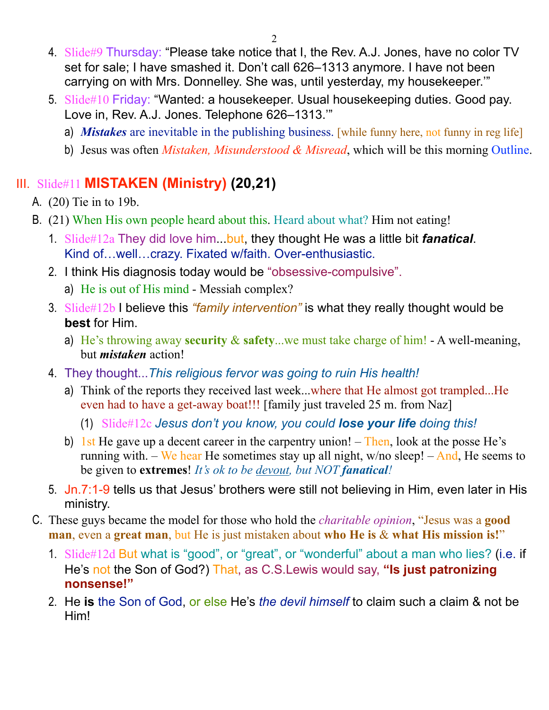- 4. Slide#9 Thursday: "Please take notice that I, the Rev. A.J. Jones, have no color TV set for sale; I have smashed it. Don't call 626–1313 anymore. I have not been carrying on with Mrs. Donnelley. She was, until yesterday, my housekeeper.'"
- 5. Slide#10 Friday: "Wanted: a housekeeper. Usual housekeeping duties. Good pay. Love in, Rev. A.J. Jones. Telephone 626–1313.'"
	- a) *Mistakes* are inevitable in the publishing business. [while funny here, not funny in reg life]
	- b) Jesus was often *Mistaken, Misunderstood & Misread*, which will be this morning Outline.

## III. Slide#11 **MISTAKEN (Ministry) (20,21)**

A. (20) Tie in to 19b.

- B. (21) When His own people heard about this. Heard about what? Him not eating!
	- 1. Slide#12a They did love him...but, they thought He was a little bit *fanatical*. Kind of…well…crazy. Fixated w/faith. Over-enthusiastic.
	- 2. I think His diagnosis today would be "obsessive-compulsive".
		- a) He is out of His mind Messiah complex?
	- 3. Slide#12b I believe this *"family intervention"* is what they really thought would be **best** for Him.
		- a) He's throwing away **security** & **safety**...we must take charge of him! A well-meaning, but *mistaken* action!
	- 4. They thought...*This religious fervor was going to ruin His health!* 
		- a) Think of the reports they received last week...where that He almost got trampled...He even had to have a get-away boat!!! [family just traveled 25 m. from Naz]
			- (1) Slide#12c *Jesus don't you know, you could lose your life doing this!*
		- b) 1st He gave up a decent career in the carpentry union! Then, look at the posse He's running with. – We hear He sometimes stay up all night, w/no sleep! – And, He seems to be given to **extremes**! *It's ok to be devout, but NOT fanatical!*
	- 5. Jn.7:1-9 tells us that Jesus' brothers were still not believing in Him, even later in His ministry.
- C. These guys became the model for those who hold the *charitable opinion*, "Jesus was a **good man**, even a **great man**, but He is just mistaken about **who He is** & **what His mission is!**"
	- 1. Slide#12d But what is "good", or "great", or "wonderful" about a man who lies? (i.e. if He's not the Son of God?) That, as C.S.Lewis would say, **"Is just patronizing nonsense!"**
	- 2. He **is** the Son of God, or else He's *the devil himself* to claim such a claim & not be Him!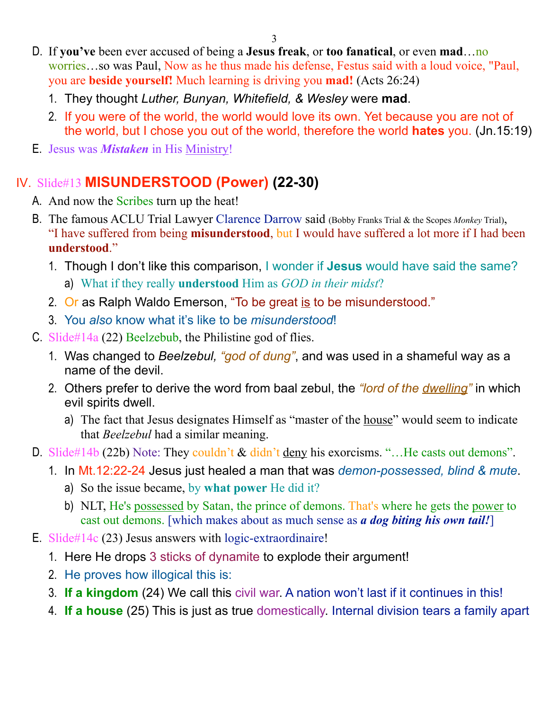3

- D. If **you've** been ever accused of being a **Jesus freak**, or **too fanatical**, or even **mad**…no worries…so was Paul, Now as he thus made his defense, Festus said with a loud voice, "Paul, you are **beside yourself!** Much learning is driving you **mad!** (Acts 26:24)
	- 1. They thought *Luther, Bunyan, Whitefield, & Wesley* were **mad**.
	- 2. If you were of the world, the world would love its own. Yet because you are not of the world, but I chose you out of the world, therefore the world **hates** you. (Jn.15:19)
- E. Jesus was *Mistaken* in His Ministry!

## IV. Slide#13 **MISUNDERSTOOD (Power) (22-30)**

- A. And now the Scribes turn up the heat!
- B. The famous ACLU Trial Lawyer Clarence Darrow said (Bobby Franks Trial & the Scopes *Monkey* Trial), "I have suffered from being **misunderstood**, but I would have suffered a lot more if I had been **understood**."
	- 1. Though I don't like this comparison, I wonder if **Jesus** would have said the same?
		- a) What if they really **understood** Him as *GOD in their midst*?
	- 2. Or as Ralph Waldo Emerson, "To be great is to be misunderstood."
	- 3. You *also* know what it's like to be *misunderstood*!
- C. Slide#14a (22) Beelzebub, the Philistine god of flies.
	- 1. Was changed to *Beelzebul, "god of dung"*, and was used in a shameful way as a name of the devil.
	- 2. Others prefer to derive the word from baal zebul, the *"lord of the dwelling"* in which evil spirits dwell.
		- a) The fact that Jesus designates Himself as "master of the house" would seem to indicate that *Beelzebul* had a similar meaning.
- D. Slide#14b (22b) Note: They couldn't & didn't deny his exorcisms. "...He casts out demons".
	- 1. In Mt.12:22-24 Jesus just healed a man that was *demon-possessed, blind & mute*.
		- a) So the issue became, by **what power** He did it?
		- b) NLT, He's possessed by Satan, the prince of demons. That's where he gets the power to cast out demons. [which makes about as much sense as *a dog biting his own tail!*]
- E. Slide#14c (23) Jesus answers with logic-extraordinaire!
	- 1. Here He drops 3 sticks of dynamite to explode their argument!
	- 2. He proves how illogical this is:
	- 3. **If a kingdom** (24) We call this civil war. A nation won't last if it continues in this!
	- 4. **If a house** (25) This is just as true domestically. Internal division tears a family apart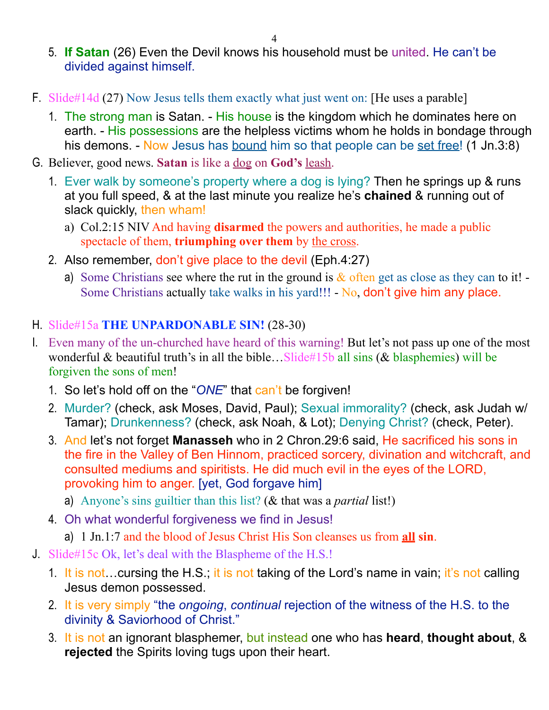- 5. **If Satan** (26) Even the Devil knows his household must be united. He can't be divided against himself.
- F. Slide#14d (27) Now Jesus tells them exactly what just went on: [He uses a parable]
	- 1. The strong man is Satan. His house is the kingdom which he dominates here on earth. - His possessions are the helpless victims whom he holds in bondage through his demons. - Now Jesus has bound him so that people can be set free! (1 Jn.3:8)
- G. Believer, good news. **Satan** is like a dog on **God's** leash.
	- 1. Ever walk by someone's property where a dog is lying? Then he springs up & runs at you full speed, & at the last minute you realize he's **chained** & running out of slack quickly, then wham!
		- a) Col.2:15 NIV And having **disarmed** the powers and authorities, he made a public spectacle of them, **triumphing over them** by the cross.
	- 2. Also remember, don't give place to the devil (Eph.4:27)
		- a) Some Christians see where the rut in the ground is  $\&$  often get as close as they can to it! Some Christians actually take walks in his yard!!! - No, don't give him any place.

#### H. Slide#15a **THE UNPARDONABLE SIN!** (28-30)

- I. Even many of the un-churched have heard of this warning! But let's not pass up one of the most wonderful & beautiful truth's in all the bible... Slide#15b all sins ( $&$  blasphemies) will be forgiven the sons of men!
	- 1. So let's hold off on the "*ONE*" that can't be forgiven!
	- 2. Murder? (check, ask Moses, David, Paul); Sexual immorality? (check, ask Judah w/ Tamar); Drunkenness? (check, ask Noah, & Lot); Denying Christ? (check, Peter).
	- 3. And let's not forget **Manasseh** who in 2 Chron.29:6 said, He sacrificed his sons in the fire in the Valley of Ben Hinnom, practiced sorcery, divination and witchcraft, and consulted mediums and spiritists. He did much evil in the eyes of the LORD, provoking him to anger. [yet, God forgave him]
		- a) Anyone's sins guiltier than this list? (& that was a *partial* list!)
	- 4. Oh what wonderful forgiveness we find in Jesus!
		- a) 1 Jn.1:7 and the blood of Jesus Christ His Son cleanses us from **all sin**.
- J. Slide#15c Ok, let's deal with the Blaspheme of the H.S.!
	- 1. It is not... cursing the H.S.; it is not taking of the Lord's name in vain; it's not calling Jesus demon possessed.
	- 2. It is very simply "the *ongoing*, *continual* rejection of the witness of the H.S. to the divinity & Saviorhood of Christ."
	- 3. It is not an ignorant blasphemer, but instead one who has **heard**, **thought about**, & **rejected** the Spirits loving tugs upon their heart.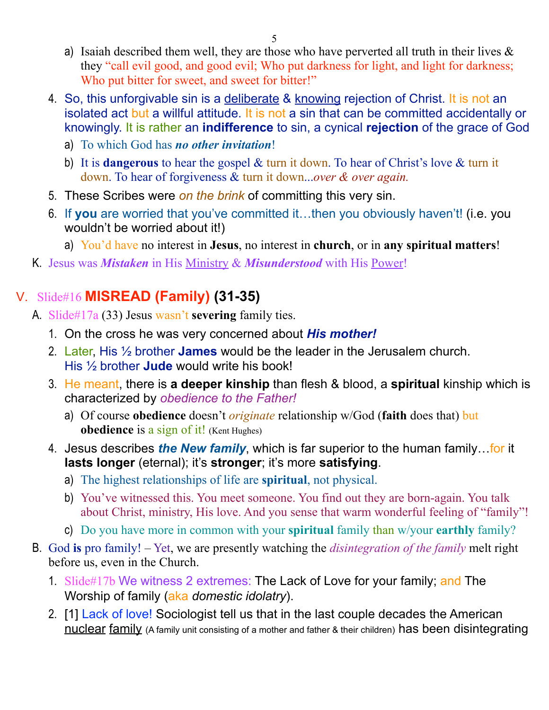- a) Isaiah described them well, they are those who have perverted all truth in their lives  $\&$ they "call evil good, and good evil; Who put darkness for light, and light for darkness; Who put bitter for sweet, and sweet for bitter!"
- 4. So, this unforgivable sin is a deliberate & knowing rejection of Christ. It is not an isolated act but a willful attitude. It is not a sin that can be committed accidentally or knowingly. It is rather an **indifference** to sin, a cynical **rejection** of the grace of God
	- a) To which God has *no other invitation*!
	- b) It is **dangerous** to hear the gospel & turn it down. To hear of Christ's love & turn it down. To hear of forgiveness & turn it down...*over & over again.*
- 5. These Scribes were *on the brink* of committing this very sin.
- 6. If **you** are worried that you've committed it…then you obviously haven't! (i.e. you wouldn't be worried about it!)
	- a) You'd have no interest in **Jesus**, no interest in **church**, or in **any spiritual matters**!
- K. Jesus was *Mistaken* in His Ministry & *Misunderstood* with His Power!

# V. Slide#16 **MISREAD (Family) (31-35)**

- A. Slide#17a (33) Jesus wasn't **severing** family ties.
	- 1. On the cross he was very concerned about *His mother!*
	- 2. Later, His ½ brother **James** would be the leader in the Jerusalem church. His ½ brother **Jude** would write his book!
	- 3. He meant, there is **a deeper kinship** than flesh & blood, a **spiritual** kinship which is characterized by *obedience to the Father!*
		- a) Of course **obedience** doesn't *originate* relationship w/God (**faith** does that) but **obedience** is a sign of it! (Kent Hughes)
	- 4. Jesus describes *the New family*, which is far superior to the human family…for it **lasts longer** (eternal); it's **stronger**; it's more **satisfying**.
		- a) The highest relationships of life are **spiritual**, not physical.
		- b) You've witnessed this. You meet someone. You find out they are born-again. You talk about Christ, ministry, His love. And you sense that warm wonderful feeling of "family"!
		- c) Do you have more in common with your **spiritual** family than w/your **earthly** family?
- B. God **is** pro family! Yet, we are presently watching the *disintegration of the family* melt right before us, even in the Church.
	- 1. Slide#17b We witness 2 extremes: The Lack of Love for your family; and The Worship of family (aka *domestic idolatry*).
	- 2. [1] Lack of love! Sociologist tell us that in the last couple decades the American nuclear family (A family unit consisting of a mother and father & their children) has been disintegrating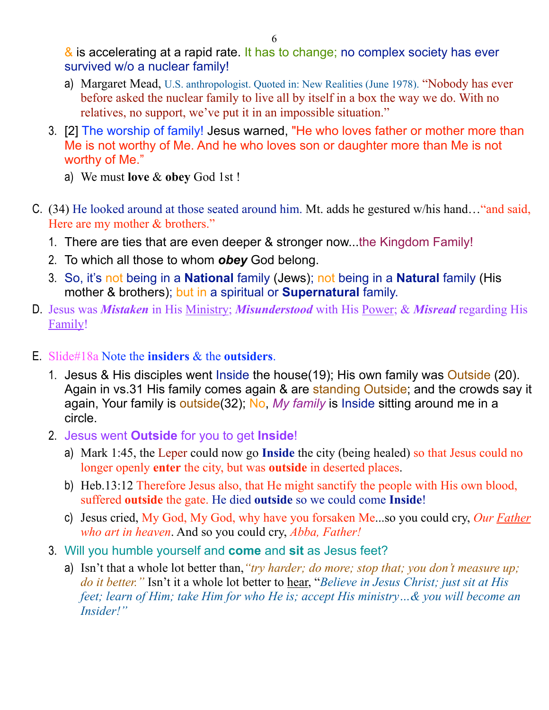& is accelerating at a rapid rate. It has to change; no complex society has ever survived w/o a nuclear family!

- a) Margaret Mead, U.S. anthropologist. Quoted in: New Realities (June 1978). "Nobody has ever before asked the nuclear family to live all by itself in a box the way we do. With no relatives, no support, we've put it in an impossible situation."
- 3. [2] The worship of family! Jesus warned, "He who loves father or mother more than Me is not worthy of Me. And he who loves son or daughter more than Me is not worthy of Me."
	- a) We must **love** & **obey** God 1st !
- C. (34) He looked around at those seated around him. Mt. adds he gestured w/his hand…"and said, Here are my mother & brothers."
	- 1. There are ties that are even deeper & stronger now...the Kingdom Family!
	- 2. To which all those to whom *obey* God belong.
	- 3. So, it's not being in a **National** family (Jews); not being in a **Natural** family (His mother & brothers); but in a spiritual or **Supernatural** family.
- D. Jesus was *Mistaken* in His Ministry; *Misunderstood* with His Power; & *Misread* regarding His Family!
- E. Slide#18a Note the **insiders** & the **outsiders**.
	- 1. Jesus & His disciples went Inside the house(19); His own family was Outside (20). Again in vs.31 His family comes again & are standing Outside; and the crowds say it again, Your family is outside(32); No, *My family* is Inside sitting around me in a circle.
	- 2. Jesus went **Outside** for you to get **Inside**!
		- a) Mark 1:45, the Leper could now go **Inside** the city (being healed) so that Jesus could no longer openly **enter** the city, but was **outside** in deserted places.
		- b) Heb.13:12 Therefore Jesus also, that He might sanctify the people with His own blood, suffered **outside** the gate. He died **outside** so we could come **Inside**!
		- c) Jesus cried, My God, My God, why have you forsaken Me...so you could cry, *Our Father who art in heaven*. And so you could cry, *Abba, Father!*
	- 3. Will you humble yourself and **come** and **sit** as Jesus feet?
		- a) Isn't that a whole lot better than,*"try harder; do more; stop that; you don't measure up; do it better."* Isn't it a whole lot better to hear, "*Believe in Jesus Christ; just sit at His feet; learn of Him; take Him for who He is; accept His ministry…& you will become an Insider!"*